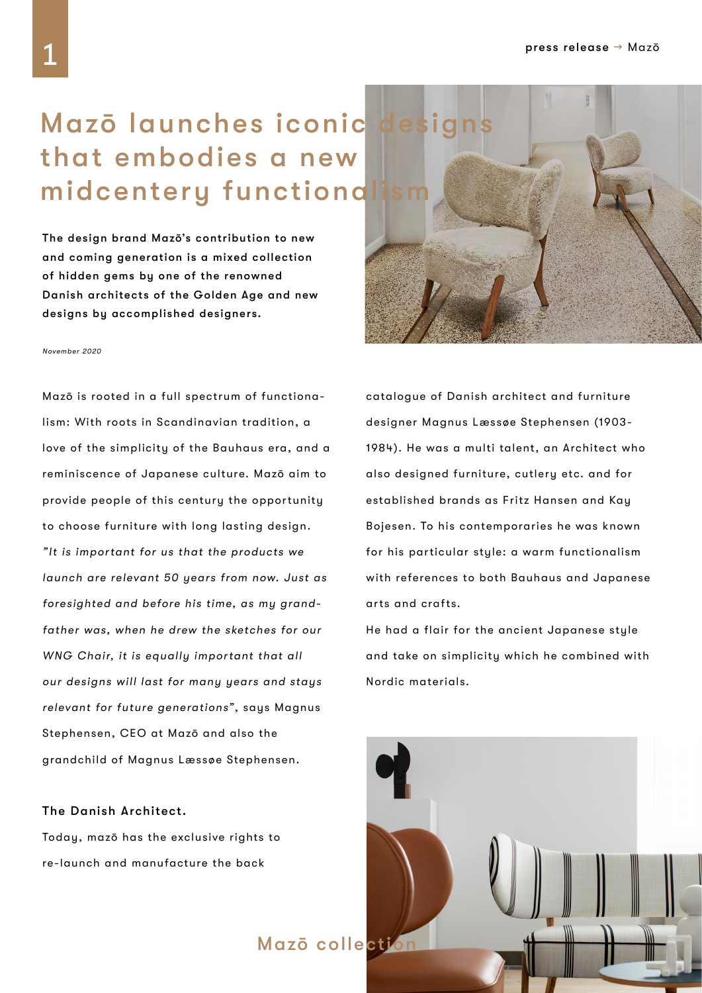## Mazō launches iconic designs that embodies a new midcentery functiond

The design brand Mazō's contribution to new and coming generation is a mixed collection of hidden gems by one of the renowned Danish architects of the Golden Age and new designs by accomplished designers.

## November 2020

Mazō is rooted in a full spectrum of functionalism: With roots in Scandinavian tradition, a love of the simplicity of the Bauhaus era, and a reminiscence of Japanese culture. Mazō aim to provide people of this century the opportunity to choose furniture with long lasting design. "It is important for us that the products we launch are relevant 50 years from now. Just as foresighted and before his time, as my grandfather was, when he drew the sketches for our WNG Chair, it is equally important that all our designs will last for many years and stays relevant for future generations", says Magnus Stephensen, CEO at Mazō and also the grandchild of Magnus Læssøe Stephensen.

The Danish Architect.

Today, mazō has the exclusive rights to re-launch and manufacture the back



He had a flair for the ancient Japanese style and take on simplicity which he combined with Nordic materials.

Mazō collection